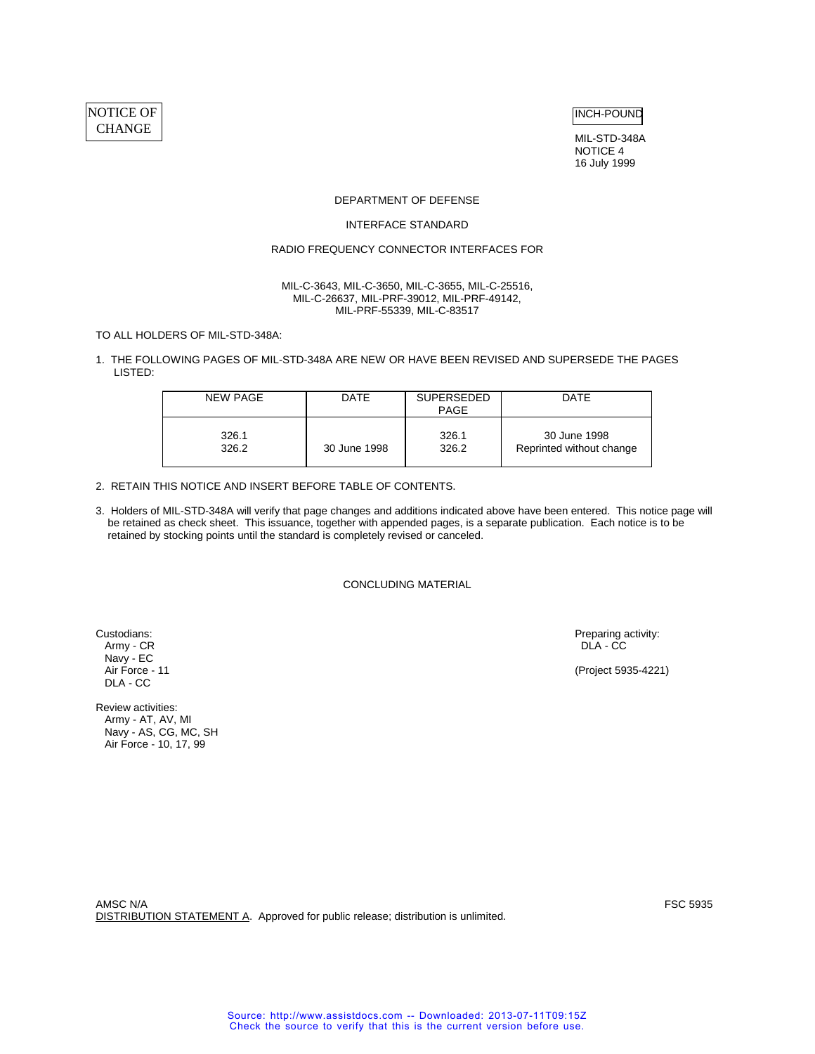# NOTICE OF CHANGE

INCH-POUND

MIL-STD-348A NOTICE 4 16 July 1999

#### DEPARTMENT OF DEFENSE

#### INTERFACE STANDARD

# RADIO FREQUENCY CONNECTOR INTERFACES FOR

#### MIL-C-3643, MIL-C-3650, MIL-C-3655, MIL-C-25516, MIL-C-26637, MIL-PRF-39012, MIL-PRF-49142, MIL-PRF-55339, MIL-C-83517

TO ALL HOLDERS OF MIL-STD-348A:

1. THE FOLLOWING PAGES OF MIL-STD-348A ARE NEW OR HAVE BEEN REVISED AND SUPERSEDE THE PAGES LISTED:

| NEW PAGE | <b>DATE</b>  | <b>SUPERSEDED</b><br>PAGE | <b>DATE</b>              |
|----------|--------------|---------------------------|--------------------------|
| 326.1    | 30 June 1998 | 326.1                     | 30 June 1998             |
| 326.2    |              | 326.2                     | Reprinted without change |

# 2. RETAIN THIS NOTICE AND INSERT BEFORE TABLE OF CONTENTS.

3. Holders of MIL-STD-348A will verify that page changes and additions indicated above have been entered. This notice page will be retained as check sheet. This issuance, together with appended pages, is a separate publication. Each notice is to be retained by stocking points until the standard is completely revised or canceled.

CONCLUDING MATERIAL

Army - CR DLA - CC Navy - EC<br>Air Force - 11 DLA - CC

Review activities: Army - AT, AV, MI Navy - AS, CG, MC, SH Air Force - 10, 17, 99

Custodians: Preparing activity: Army - CR and Custodians: Preparing activity: Army - CR and Custodians: Army - CR and Custodians activity: Army - CR and Custodians and Custodians and Custodians and Custodians and Custodian

(Project 5935-4221)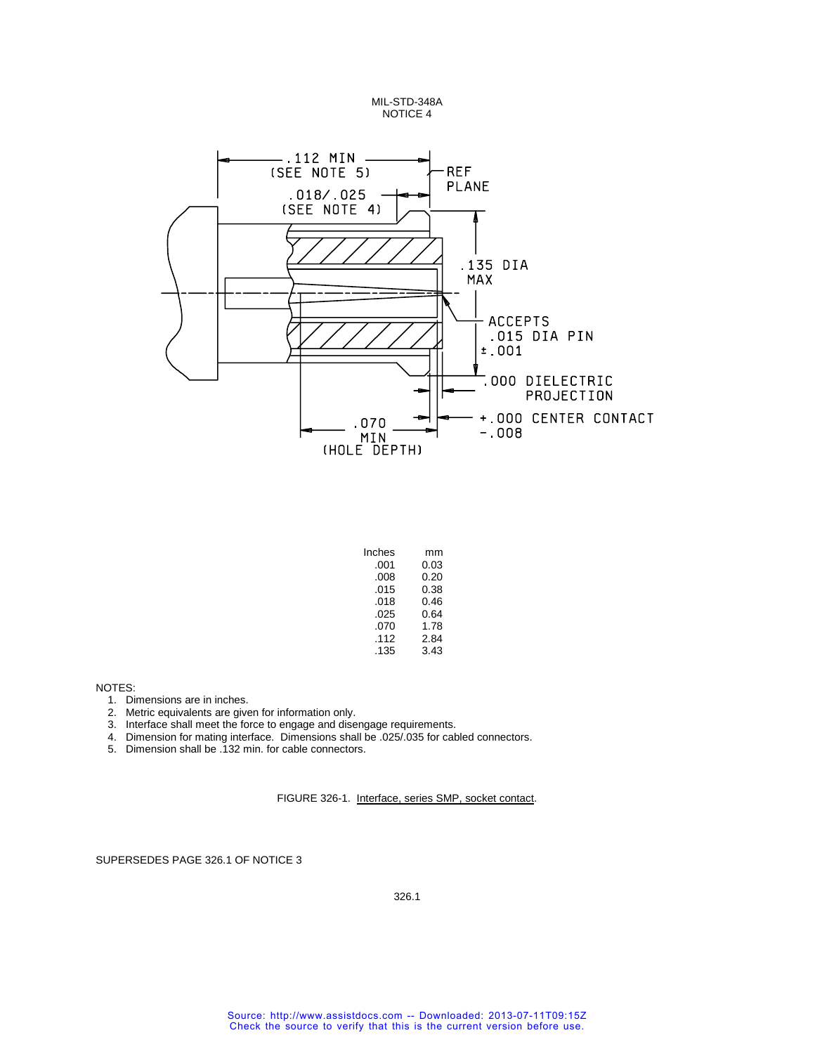MIL-STD-348A NOTICE 4



| Inches | mm   |
|--------|------|
| .001   | 0.03 |
| .008   | 0.20 |
| .015   | 0.38 |
| .018   | 0.46 |
| .025   | 0.64 |
| .070   | 1.78 |
| .112   | 2.84 |
| .135   | 3.43 |

NOTES:

- 1. Dimensions are in inches.
- 2. Metric equivalents are given for information only.
- 3. Interface shall meet the force to engage and disengage requirements.
- 4. Dimension for mating interface. Dimensions shall be .025/.035 for cabled connectors.
- 5. Dimension shall be .132 min. for cable connectors.

FIGURE 326-1. Interface, series SMP, socket contact.

SUPERSEDES PAGE 326.1 OF NOTICE 3

326.1